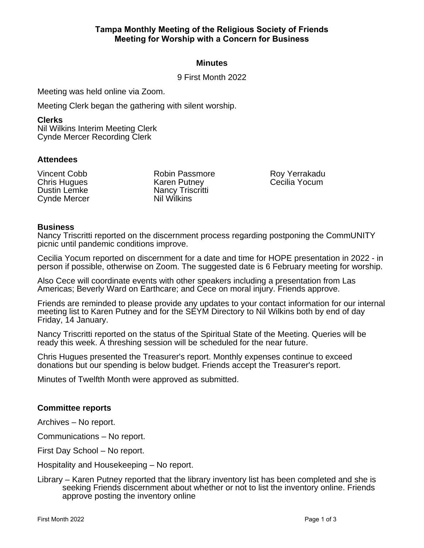## **Minutes**

9 First Month 2022

Meeting was held online via Zoom.

Meeting Clerk began the gathering with silent worship.

#### **Clerks**

Nil Wilkins Interim Meeting Clerk Cynde Mercer Recording Clerk

## **Attendees**

Vincent Cobb Chris Hugues Dustin Lemke Cynde Mercer

Robin Passmore Karen Putney Nancy Triscritti Nil Wilkins

Roy Yerrakadu Cecilia Yocum

## **Business**

Nancy Triscritti reported on the discernment process regarding postponing the CommUNITY picnic until pandemic conditions improve.

Cecilia Yocum reported on discernment for a date and time for HOPE presentation in 2022 - in person if possible, otherwise on Zoom. The suggested date is 6 February meeting for worship.

Also Cece will coordinate events with other speakers including a presentation from Las Americas; Beverly Ward on Earthcare; and Cece on moral injury. Friends approve.

Friends are reminded to please provide any updates to your contact information for our internal meeting list to Karen Putney and for the SEYM Directory to Nil Wilkins both by end of day Friday, 14 January.

Nancy Triscritti reported on the status of the Spiritual State of the Meeting. Queries will be ready this week. A threshing session will be scheduled for the near future.

Chris Hugues presented the Treasurer's report. Monthly expenses continue to exceed donations but our spending is below budget. Friends accept the Treasurer's report.

Minutes of Twelfth Month were approved as submitted.

#### **Committee reports**

Archives – No report.

Communications – No report.

First Day School – No report.

Hospitality and Housekeeping – No report.

Library – Karen Putney reported that the library inventory list has been completed and she is seeking Friends discernment about whether or not to list the inventory online. Friends approve posting the inventory online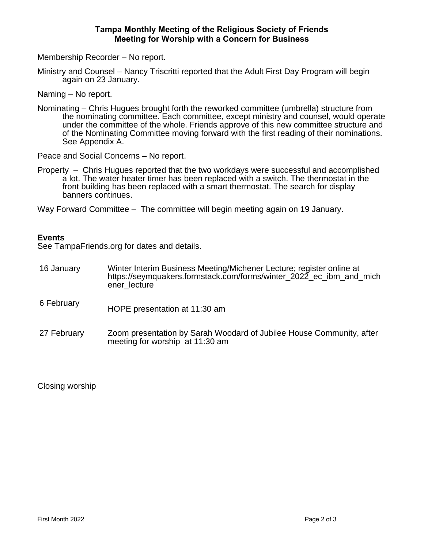### **Tampa Monthly Meeting of the Religious Society of Friends Meeting for Worship with a Concern for Business**

Membership Recorder – No report.

Ministry and Counsel – Nancy Triscritti reported that the Adult First Day Program will begin again on 23 January.

Naming – No report.

Nominating – Chris Hugues brought forth the reworked committee (umbrella) structure from the nominating committee. Each committee, except ministry and counsel, would operate under the committee of the whole. Friends approve of this new committee structure and of the Nominating Committee moving forward with the first reading of their nominations. See Appendix A.

Peace and Social Concerns – No report.

Property – Chris Hugues reported that the two workdays were successful and accomplished a lot. The water heater timer has been replaced with a switch. The thermostat in the front building has been replaced with a smart thermostat. The search for display banners continues.

Way Forward Committee – The committee will begin meeting again on 19 January.

## **Events**

See TampaFriends.org for dates and details.

- 16 January Winter Interim Business Meeting/Michener Lecture; register online at https://seymquakers.formstack.com/forms/winter\_2022\_ec\_ibm\_and\_mich ener\_lecture
- 6 February HOPE presentation at 11:30 am
- 27 February Zoom presentation by Sarah Woodard of Jubilee House Community, after meeting for worship at 11:30 am

Closing worship